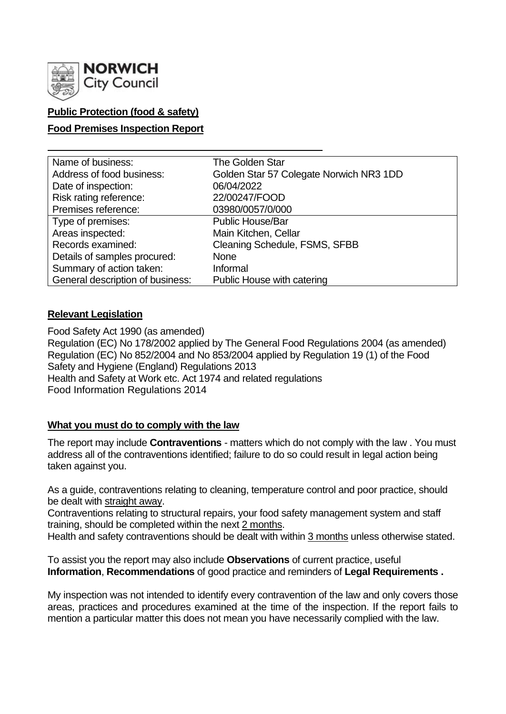

# **Public Protection (food & safety)**

## **Food Premises Inspection Report**

| Name of business:                | <b>The Golden Star</b>                  |
|----------------------------------|-----------------------------------------|
| Address of food business:        | Golden Star 57 Colegate Norwich NR3 1DD |
| Date of inspection:              | 06/04/2022                              |
| Risk rating reference:           | 22/00247/FOOD                           |
| Premises reference:              | 03980/0057/0/000                        |
| Type of premises:                | <b>Public House/Bar</b>                 |
| Areas inspected:                 | Main Kitchen, Cellar                    |
| Records examined:                | Cleaning Schedule, FSMS, SFBB           |
| Details of samples procured:     | <b>None</b>                             |
| Summary of action taken:         | Informal                                |
| General description of business: | Public House with catering              |

## **Relevant Legislation**

Food Safety Act 1990 (as amended) Regulation (EC) No 178/2002 applied by The General Food Regulations 2004 (as amended) Regulation (EC) No 852/2004 and No 853/2004 applied by Regulation 19 (1) of the Food Safety and Hygiene (England) Regulations 2013 Health and Safety at Work etc. Act 1974 and related regulations Food Information Regulations 2014

## **What you must do to comply with the law**

The report may include **Contraventions** - matters which do not comply with the law . You must address all of the contraventions identified; failure to do so could result in legal action being taken against you.

As a guide, contraventions relating to cleaning, temperature control and poor practice, should be dealt with straight away.

Contraventions relating to structural repairs, your food safety management system and staff training, should be completed within the next 2 months.

Health and safety contraventions should be dealt with within 3 months unless otherwise stated.

To assist you the report may also include **Observations** of current practice, useful **Information**, **Recommendations** of good practice and reminders of **Legal Requirements .**

My inspection was not intended to identify every contravention of the law and only covers those areas, practices and procedures examined at the time of the inspection. If the report fails to mention a particular matter this does not mean you have necessarily complied with the law.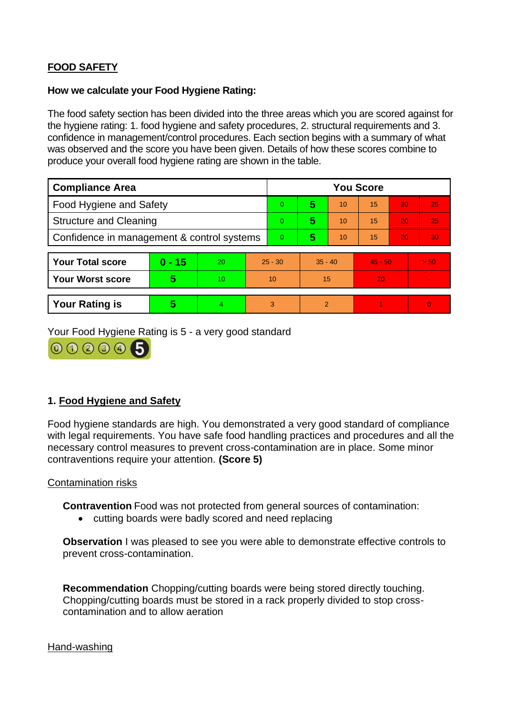# **FOOD SAFETY**

#### **How we calculate your Food Hygiene Rating:**

The food safety section has been divided into the three areas which you are scored against for the hygiene rating: 1. food hygiene and safety procedures, 2. structural requirements and 3. confidence in management/control procedures. Each section begins with a summary of what was observed and the score you have been given. Details of how these scores combine to produce your overall food hygiene rating are shown in the table.

| <b>Compliance Area</b>                     |          |    | <b>You Score</b> |   |                |    |           |    |                |  |
|--------------------------------------------|----------|----|------------------|---|----------------|----|-----------|----|----------------|--|
| Food Hygiene and Safety                    |          |    | $\overline{0}$   | 5 | 10             | 15 | 20        | 25 |                |  |
| <b>Structure and Cleaning</b>              |          |    | $\Omega$         | 5 | 10             | 15 | 20        | 25 |                |  |
| Confidence in management & control systems |          |    | $\overline{0}$   | 5 | 10             | 15 | 20        | 30 |                |  |
|                                            |          |    |                  |   |                |    |           |    |                |  |
| <b>Your Total score</b>                    | $0 - 15$ | 20 | $25 - 30$        |   | $35 - 40$      |    | $45 - 50$ |    | > 50           |  |
| <b>Your Worst score</b>                    | 5        | 10 | 10               |   | 15             |    | 20        |    | $\blacksquare$ |  |
|                                            |          |    |                  |   |                |    |           |    |                |  |
| <b>Your Rating is</b>                      | 5        | 4  |                  | 3 | $\overline{2}$ |    |           |    | $\Omega$       |  |

Your Food Hygiene Rating is 5 - a very good standard



## **1. Food Hygiene and Safety**

Food hygiene standards are high. You demonstrated a very good standard of compliance with legal requirements. You have safe food handling practices and procedures and all the necessary control measures to prevent cross-contamination are in place. Some minor contraventions require your attention. **(Score 5)**

## Contamination risks

**Contravention** Food was not protected from general sources of contamination:

• cutting boards were badly scored and need replacing

**Observation** I was pleased to see you were able to demonstrate effective controls to prevent cross-contamination.

**Recommendation** Chopping/cutting boards were being stored directly touching. Chopping/cutting boards must be stored in a rack properly divided to stop crosscontamination and to allow aeration

#### Hand-washing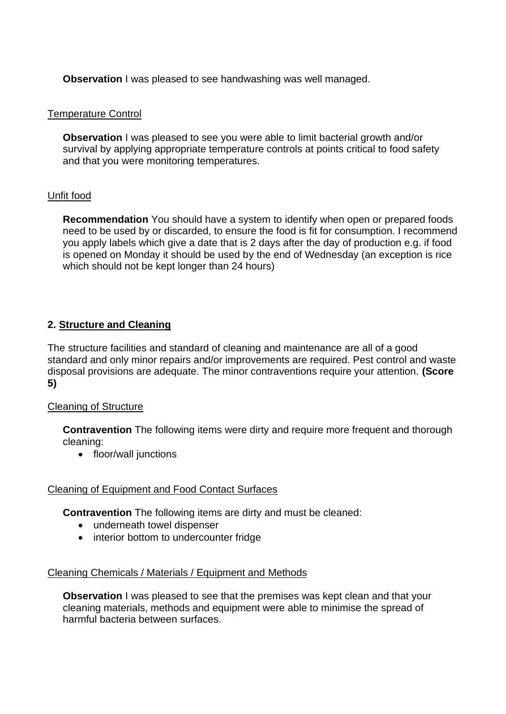**Observation** I was pleased to see handwashing was well managed.

## Temperature Control

**Observation** I was pleased to see you were able to limit bacterial growth and/or survival by applying appropriate temperature controls at points critical to food safety and that you were monitoring temperatures.

## Unfit food

**Recommendation** You should have a system to identify when open or prepared foods need to be used by or discarded, to ensure the food is fit for consumption. I recommend you apply labels which give a date that is 2 days after the day of production e.g. if food is opened on Monday it should be used by the end of Wednesday (an exception is rice which should not be kept longer than 24 hours)

# **2. Structure and Cleaning**

The structure facilities and standard of cleaning and maintenance are all of a good standard and only minor repairs and/or improvements are required. Pest control and waste disposal provisions are adequate. The minor contraventions require your attention. **(Score 5)**

## Cleaning of Structure

**Contravention** The following items were dirty and require more frequent and thorough cleaning:

• floor/wall junctions

## Cleaning of Equipment and Food Contact Surfaces

**Contravention** The following items are dirty and must be cleaned:

- underneath towel dispenser
- interior bottom to undercounter fridge

## Cleaning Chemicals / Materials / Equipment and Methods

**Observation** I was pleased to see that the premises was kept clean and that your cleaning materials, methods and equipment were able to minimise the spread of harmful bacteria between surfaces.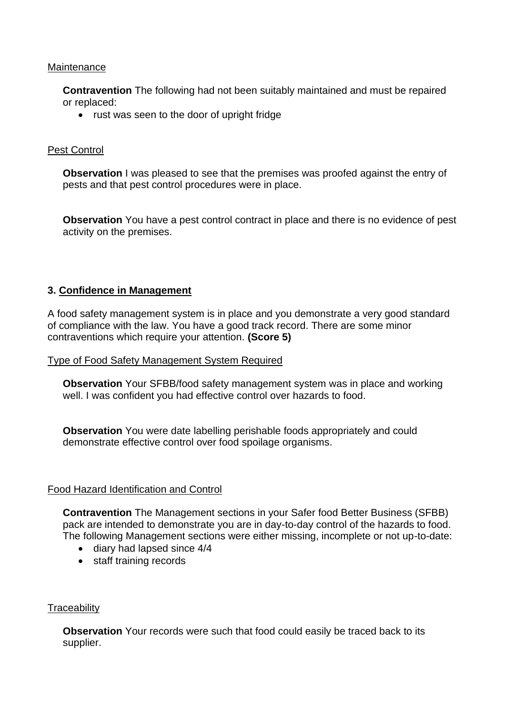## **Maintenance**

**Contravention** The following had not been suitably maintained and must be repaired or replaced:

• rust was seen to the door of upright fridge

#### Pest Control

**Observation** I was pleased to see that the premises was proofed against the entry of pests and that pest control procedures were in place.

**Observation** You have a pest control contract in place and there is no evidence of pest activity on the premises.

## **3. Confidence in Management**

A food safety management system is in place and you demonstrate a very good standard of compliance with the law. You have a good track record. There are some minor contraventions which require your attention. **(Score 5)**

#### Type of Food Safety Management System Required

**Observation** Your SFBB/food safety management system was in place and working well. I was confident you had effective control over hazards to food.

**Observation** You were date labelling perishable foods appropriately and could demonstrate effective control over food spoilage organisms.

#### Food Hazard Identification and Control

**Contravention** The Management sections in your Safer food Better Business (SFBB) pack are intended to demonstrate you are in day-to-day control of the hazards to food. The following Management sections were either missing, incomplete or not up-to-date:

- diary had lapsed since 4/4
- staff training records

## **Traceability**

**Observation** Your records were such that food could easily be traced back to its supplier.